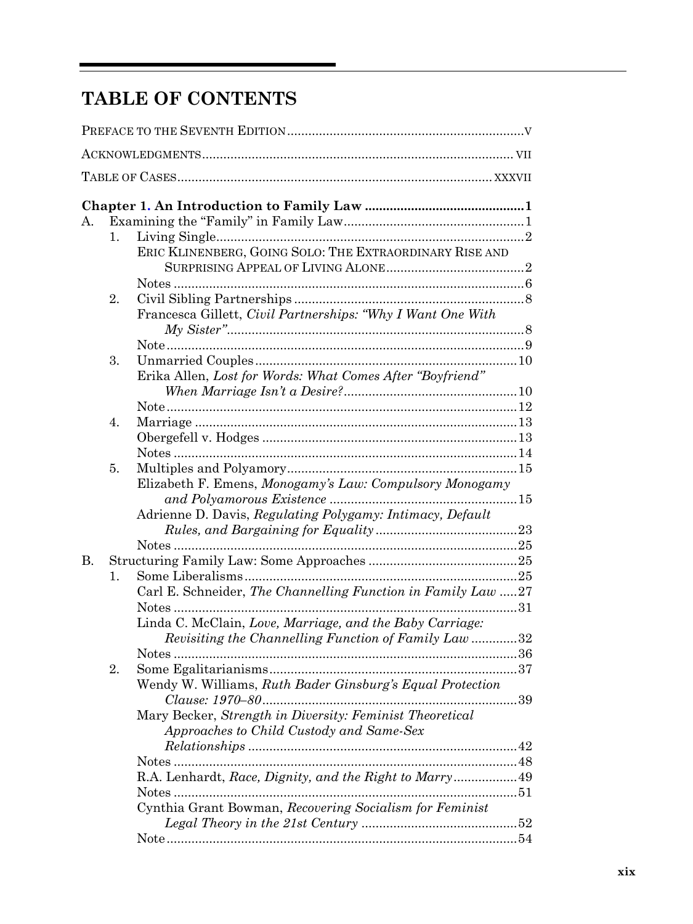## TABLE OF CONTENTS

| Α.        |                |                                                                                                               |  |
|-----------|----------------|---------------------------------------------------------------------------------------------------------------|--|
|           | $\mathbf{1}$ . |                                                                                                               |  |
|           |                | ERIC KLINENBERG, GOING SOLO: THE EXTRAORDINARY RISE AND                                                       |  |
|           |                |                                                                                                               |  |
|           |                |                                                                                                               |  |
|           | 2.             |                                                                                                               |  |
|           |                | Francesca Gillett, Civil Partnerships: "Why I Want One With                                                   |  |
|           |                |                                                                                                               |  |
|           | 3.             |                                                                                                               |  |
|           |                | Erika Allen, Lost for Words: What Comes After "Boyfriend"                                                     |  |
|           |                |                                                                                                               |  |
|           |                |                                                                                                               |  |
|           | 4.             |                                                                                                               |  |
|           |                |                                                                                                               |  |
|           |                |                                                                                                               |  |
|           |                |                                                                                                               |  |
|           | 5.             |                                                                                                               |  |
|           |                | Elizabeth F. Emens, Monogamy's Law: Compulsory Monogamy                                                       |  |
|           |                |                                                                                                               |  |
|           |                | Adrienne D. Davis, Regulating Polygamy: Intimacy, Default                                                     |  |
|           |                |                                                                                                               |  |
|           |                |                                                                                                               |  |
| <b>B.</b> |                |                                                                                                               |  |
|           | 1.             |                                                                                                               |  |
|           |                | Carl E. Schneider, The Channelling Function in Family Law 27                                                  |  |
|           |                | . 31                                                                                                          |  |
|           |                | Linda C. McClain, Love, Marriage, and the Baby Carriage:                                                      |  |
|           |                | Revisiting the Channelling Function of Family Law32                                                           |  |
|           |                |                                                                                                               |  |
|           | 2.             |                                                                                                               |  |
|           |                | Wendy W. Williams, Ruth Bader Ginsburg's Equal Protection<br>$\label{eq:1} Clausec.~1970-80\qquad \qquad .29$ |  |
|           |                | Mary Becker, Strength in Diversity: Feminist Theoretical                                                      |  |
|           |                | Approaches to Child Custody and Same-Sex                                                                      |  |
|           |                |                                                                                                               |  |
|           |                |                                                                                                               |  |
|           |                | R.A. Lenhardt, Race, Dignity, and the Right to Marry 49                                                       |  |
|           |                |                                                                                                               |  |
|           |                | Cynthia Grant Bowman, Recovering Socialism for Feminist                                                       |  |
|           |                |                                                                                                               |  |
|           |                |                                                                                                               |  |
|           |                |                                                                                                               |  |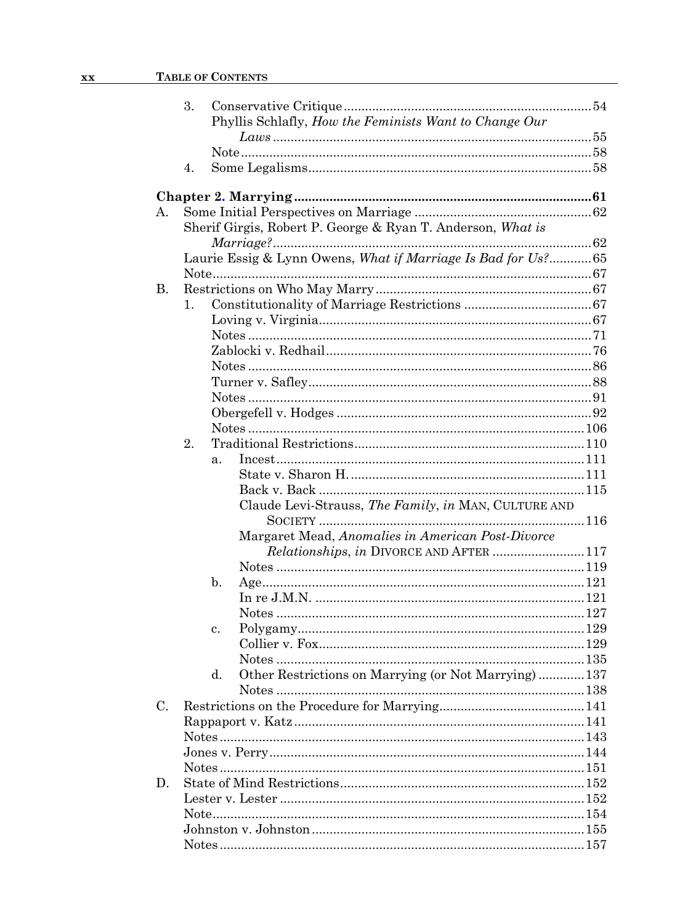## XX TABLE OF CONTENTS

|             | 3. |                | Phyllis Schlafly, How the Feminists Want to Change Our       |  |
|-------------|----|----------------|--------------------------------------------------------------|--|
|             |    |                |                                                              |  |
|             |    |                |                                                              |  |
|             | 4. |                |                                                              |  |
|             |    |                |                                                              |  |
|             |    |                |                                                              |  |
| А.          |    |                |                                                              |  |
|             |    |                | Sherif Girgis, Robert P. George & Ryan T. Anderson, What is  |  |
|             |    |                |                                                              |  |
|             |    |                | Laurie Essig & Lynn Owens, What if Marriage Is Bad for Us?65 |  |
|             |    |                |                                                              |  |
| <b>B.</b>   |    |                |                                                              |  |
|             | 1. |                |                                                              |  |
|             |    |                |                                                              |  |
|             |    |                |                                                              |  |
|             |    |                |                                                              |  |
|             |    |                |                                                              |  |
|             |    |                |                                                              |  |
|             |    |                |                                                              |  |
|             |    |                |                                                              |  |
|             |    |                |                                                              |  |
|             | 2. |                |                                                              |  |
|             |    |                |                                                              |  |
|             |    | a <sub>x</sub> |                                                              |  |
|             |    |                |                                                              |  |
|             |    |                |                                                              |  |
|             |    |                | Claude Levi-Strauss, The Family, in MAN, CULTURE AND         |  |
|             |    |                | Margaret Mead, Anomalies in American Post-Divorce            |  |
|             |    |                | <i>Relationships, in DIVORCE AND AFTER 117</i>               |  |
|             |    |                |                                                              |  |
|             |    | $\mathbf{b}$ . |                                                              |  |
|             |    |                |                                                              |  |
|             |    |                |                                                              |  |
|             |    | c.             |                                                              |  |
|             |    |                |                                                              |  |
|             |    |                |                                                              |  |
|             |    | d.             | Other Restrictions on Marrying (or Not Marrying)  137        |  |
|             |    |                |                                                              |  |
| $C_{\cdot}$ |    |                |                                                              |  |
|             |    |                |                                                              |  |
|             |    |                |                                                              |  |
|             |    |                |                                                              |  |
|             |    |                |                                                              |  |
|             |    |                |                                                              |  |
| D.          |    |                |                                                              |  |
|             |    |                |                                                              |  |
|             |    |                |                                                              |  |
|             |    |                |                                                              |  |
|             |    |                |                                                              |  |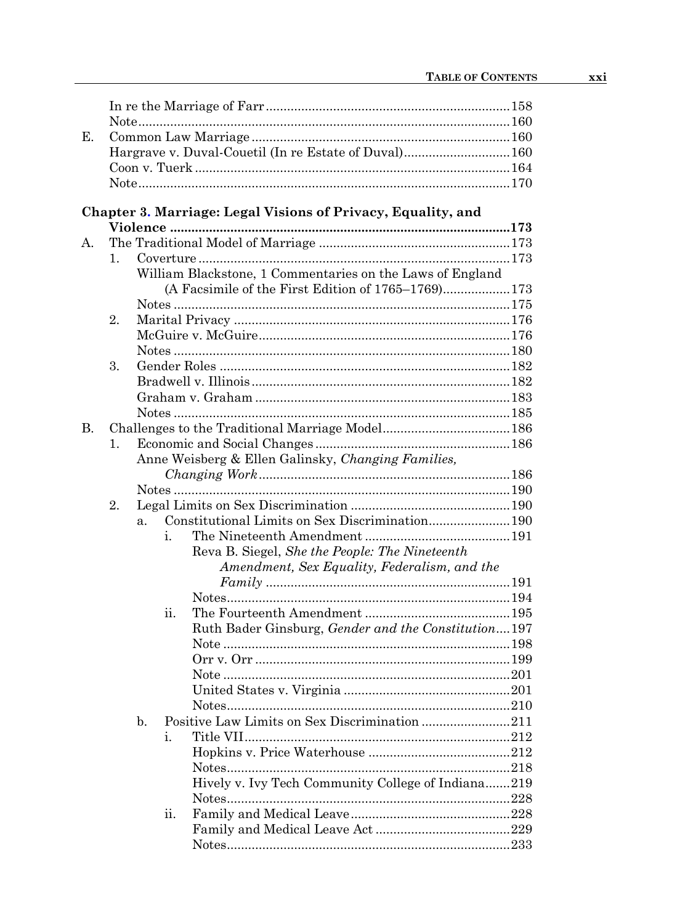## Chapter 3. Marriage: Legal Visions of Privacy, Equality, and

|    |    | Violence …………………………………………………………………………………173                      |  |
|----|----|------------------------------------------------------------------|--|
| А. |    |                                                                  |  |
|    | 1. |                                                                  |  |
|    |    | William Blackstone, 1 Commentaries on the Laws of England        |  |
|    |    | (A Facsimile of the First Edition of 1765–1769)173               |  |
|    |    |                                                                  |  |
|    | 2. |                                                                  |  |
|    |    |                                                                  |  |
|    |    |                                                                  |  |
|    | 3. |                                                                  |  |
|    |    |                                                                  |  |
|    |    |                                                                  |  |
|    |    |                                                                  |  |
| В. |    |                                                                  |  |
|    | 1. |                                                                  |  |
|    |    | Anne Weisberg & Ellen Galinsky, Changing Families,               |  |
|    |    |                                                                  |  |
|    |    |                                                                  |  |
|    | 2. |                                                                  |  |
|    |    | Constitutional Limits on Sex Discrimination190<br>a <sub>1</sub> |  |
|    |    | i.                                                               |  |
|    |    | Reva B. Siegel, She the People: The Nineteenth                   |  |
|    |    | Amendment, Sex Equality, Federalism, and the                     |  |
|    |    |                                                                  |  |
|    |    |                                                                  |  |
|    |    | ii.                                                              |  |
|    |    | Ruth Bader Ginsburg, Gender and the Constitution197              |  |
|    |    |                                                                  |  |
|    |    |                                                                  |  |
|    |    |                                                                  |  |
|    |    |                                                                  |  |
|    |    |                                                                  |  |
|    |    | Positive Law Limits on Sex Discrimination 211<br>b.              |  |
|    |    | i.                                                               |  |
|    |    |                                                                  |  |
|    |    |                                                                  |  |
|    |    | Hively v. Ivy Tech Community College of Indiana219               |  |
|    |    |                                                                  |  |
|    |    | ii.                                                              |  |
|    |    |                                                                  |  |
|    |    |                                                                  |  |
|    |    |                                                                  |  |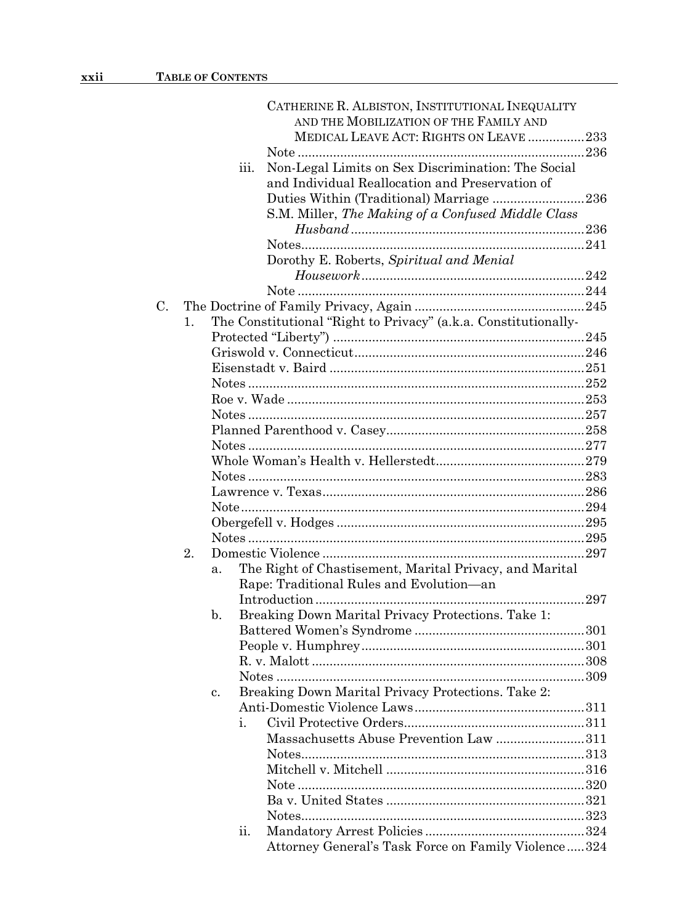|    |    |      | CATHERINE R. ALBISTON, INSTITUTIONAL INEQUALITY                 |     |
|----|----|------|-----------------------------------------------------------------|-----|
|    |    |      | AND THE MOBILIZATION OF THE FAMILY AND                          |     |
|    |    |      | MEDICAL LEAVE ACT: RIGHTS ON LEAVE 233                          |     |
|    |    |      |                                                                 |     |
|    |    | iii. | Non-Legal Limits on Sex Discrimination: The Social              |     |
|    |    |      | and Individual Reallocation and Preservation of                 |     |
|    |    |      | Duties Within (Traditional) Marriage 236                        |     |
|    |    |      | S.M. Miller, The Making of a Confused Middle Class              |     |
|    |    |      |                                                                 |     |
|    |    |      |                                                                 |     |
|    |    |      | Dorothy E. Roberts, Spiritual and Menial                        |     |
|    |    |      |                                                                 |     |
|    |    |      |                                                                 |     |
| C. |    |      |                                                                 |     |
|    | 1. |      | The Constitutional "Right to Privacy" (a.k.a. Constitutionally- |     |
|    |    |      |                                                                 |     |
|    |    |      |                                                                 |     |
|    |    |      |                                                                 |     |
|    |    |      |                                                                 |     |
|    |    |      |                                                                 |     |
|    |    |      |                                                                 |     |
|    |    |      |                                                                 |     |
|    |    |      |                                                                 |     |
|    |    |      |                                                                 |     |
|    |    |      |                                                                 |     |
|    |    |      |                                                                 |     |
|    |    |      |                                                                 |     |
|    |    |      |                                                                 |     |
|    |    |      |                                                                 |     |
|    |    |      |                                                                 |     |
|    | 2. |      |                                                                 |     |
|    |    | a.   | The Right of Chastisement, Marital Privacy, and Marital         |     |
|    |    |      | Rape: Traditional Rules and Evolution-an                        |     |
|    |    |      |                                                                 | 297 |
|    |    | b.   | Breaking Down Marital Privacy Protections. Take 1:              |     |
|    |    |      |                                                                 |     |
|    |    |      |                                                                 |     |
|    |    |      |                                                                 |     |
|    |    |      |                                                                 |     |
|    |    | c.   | Breaking Down Marital Privacy Protections. Take 2:              |     |
|    |    |      |                                                                 |     |
|    |    | i.   |                                                                 |     |
|    |    |      | Massachusetts Abuse Prevention Law 311                          |     |
|    |    |      |                                                                 |     |
|    |    |      |                                                                 |     |
|    |    |      |                                                                 |     |
|    |    |      |                                                                 |     |
|    |    |      |                                                                 |     |
|    |    | ii.  |                                                                 |     |
|    |    |      | Attorney General's Task Force on Family Violence324             |     |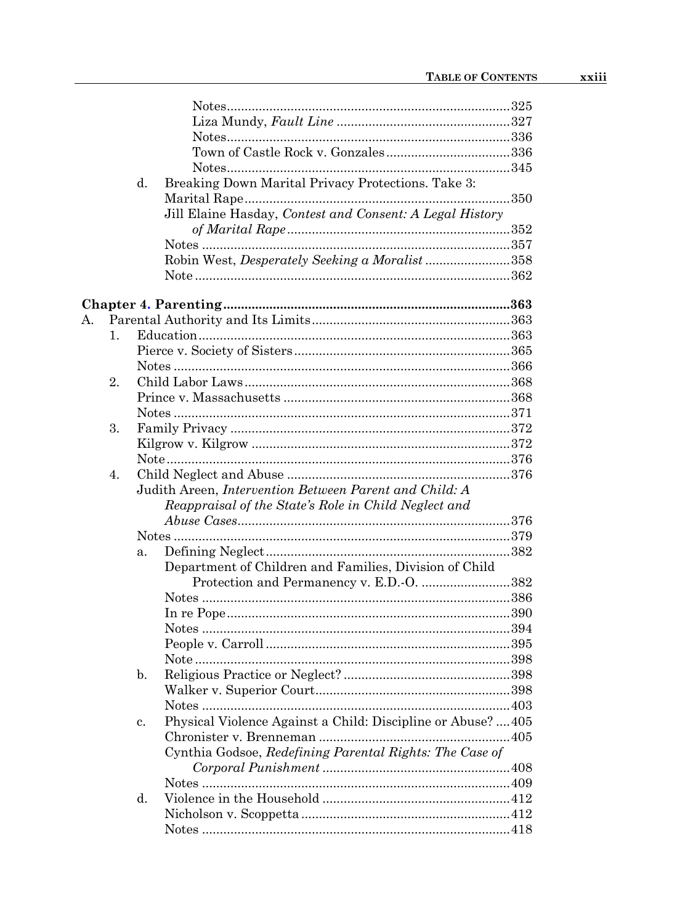|    |    | Breaking Down Marital Privacy Protections. Take 3:<br>d.                                           |  |
|----|----|----------------------------------------------------------------------------------------------------|--|
|    |    |                                                                                                    |  |
|    |    | Jill Elaine Hasday, Contest and Consent: A Legal History                                           |  |
|    |    |                                                                                                    |  |
|    |    |                                                                                                    |  |
|    |    | Robin West, Desperately Seeking a Moralist358                                                      |  |
|    |    |                                                                                                    |  |
|    |    |                                                                                                    |  |
| А. |    |                                                                                                    |  |
|    | 1. |                                                                                                    |  |
|    |    |                                                                                                    |  |
|    |    |                                                                                                    |  |
|    | 2. |                                                                                                    |  |
|    |    |                                                                                                    |  |
|    |    |                                                                                                    |  |
|    | 3. |                                                                                                    |  |
|    |    |                                                                                                    |  |
|    |    |                                                                                                    |  |
|    | 4. |                                                                                                    |  |
|    |    | Judith Areen, Intervention Between Parent and Child: A                                             |  |
|    |    |                                                                                                    |  |
|    |    | Reappraisal of the State's Role in Child Neglect and                                               |  |
|    |    |                                                                                                    |  |
|    |    |                                                                                                    |  |
|    |    | a.                                                                                                 |  |
|    |    | Department of Children and Families, Division of Child<br>Protection and Permanency v. E.D.-O. 382 |  |
|    |    |                                                                                                    |  |
|    |    |                                                                                                    |  |
|    |    |                                                                                                    |  |
|    |    |                                                                                                    |  |
|    |    |                                                                                                    |  |
|    |    |                                                                                                    |  |
|    |    | $\mathbf{b}$ .                                                                                     |  |
|    |    |                                                                                                    |  |
|    |    |                                                                                                    |  |
|    |    | Physical Violence Against a Child: Discipline or Abuse?  405<br>c.                                 |  |
|    |    | Cynthia Godsoe, Redefining Parental Rights: The Case of                                            |  |
|    |    |                                                                                                    |  |
|    |    |                                                                                                    |  |
|    |    |                                                                                                    |  |
|    |    | d.                                                                                                 |  |
|    |    |                                                                                                    |  |
|    |    |                                                                                                    |  |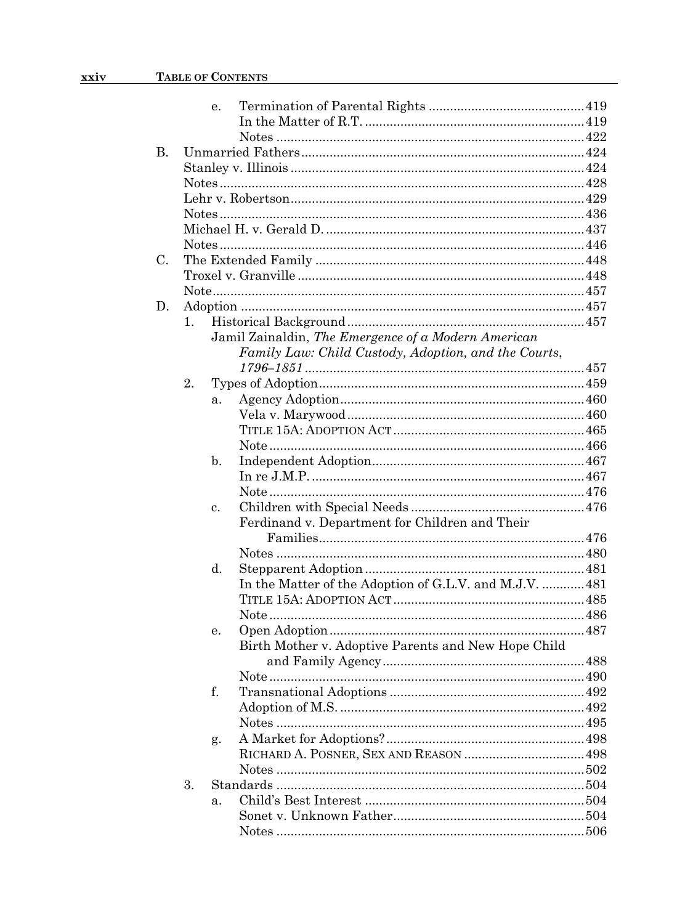|           |    | e. |                                                         |  |
|-----------|----|----|---------------------------------------------------------|--|
|           |    |    |                                                         |  |
|           |    |    |                                                         |  |
| <b>B.</b> |    |    |                                                         |  |
|           |    |    |                                                         |  |
|           |    |    |                                                         |  |
|           |    |    |                                                         |  |
|           |    |    |                                                         |  |
|           |    |    |                                                         |  |
|           |    |    |                                                         |  |
| C.        |    |    |                                                         |  |
|           |    |    |                                                         |  |
|           |    |    |                                                         |  |
| D.        |    |    |                                                         |  |
|           |    |    |                                                         |  |
|           | 1. |    |                                                         |  |
|           |    |    | Jamil Zainaldin, The Emergence of a Modern American     |  |
|           |    |    | Family Law: Child Custody, Adoption, and the Courts,    |  |
|           |    |    |                                                         |  |
|           | 2. |    |                                                         |  |
|           |    | a. |                                                         |  |
|           |    |    |                                                         |  |
|           |    |    |                                                         |  |
|           |    |    |                                                         |  |
|           |    | b. |                                                         |  |
|           |    |    |                                                         |  |
|           |    |    |                                                         |  |
|           |    | c. |                                                         |  |
|           |    |    | Ferdinand v. Department for Children and Their          |  |
|           |    |    |                                                         |  |
|           |    |    |                                                         |  |
|           |    | d. |                                                         |  |
|           |    |    | In the Matter of the Adoption of G.L.V. and M.J.V.  481 |  |
|           |    |    |                                                         |  |
|           |    |    |                                                         |  |
|           |    | е. |                                                         |  |
|           |    |    | Birth Mother v. Adoptive Parents and New Hope Child     |  |
|           |    |    |                                                         |  |
|           |    |    |                                                         |  |
|           |    | f. |                                                         |  |
|           |    |    |                                                         |  |
|           |    |    |                                                         |  |
|           |    |    |                                                         |  |
|           |    | g. |                                                         |  |
|           |    |    |                                                         |  |
|           | 3. |    |                                                         |  |
|           |    |    |                                                         |  |
|           |    | a. |                                                         |  |
|           |    |    |                                                         |  |
|           |    |    |                                                         |  |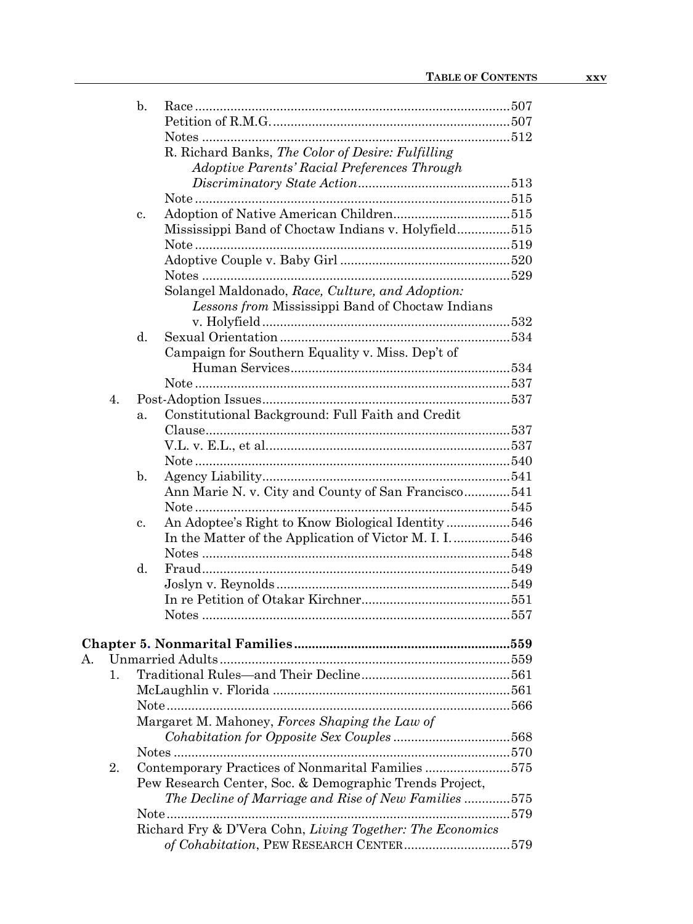|    | $\mathbf{b}$ .                                            |  |
|----|-----------------------------------------------------------|--|
|    |                                                           |  |
|    |                                                           |  |
|    | R. Richard Banks, The Color of Desire: Fulfilling         |  |
|    | Adoptive Parents' Racial Preferences Through              |  |
|    |                                                           |  |
|    |                                                           |  |
|    | c.                                                        |  |
|    | Mississippi Band of Choctaw Indians v. Holyfield515       |  |
|    |                                                           |  |
|    |                                                           |  |
|    |                                                           |  |
|    | Solangel Maldonado, Race, Culture, and Adoption:          |  |
|    | Lessons from Mississippi Band of Choctaw Indians          |  |
|    |                                                           |  |
|    | d.                                                        |  |
|    | Campaign for Southern Equality v. Miss. Dep't of          |  |
|    |                                                           |  |
|    |                                                           |  |
| 4. |                                                           |  |
|    | Constitutional Background: Full Faith and Credit<br>a.    |  |
|    |                                                           |  |
|    |                                                           |  |
|    |                                                           |  |
|    |                                                           |  |
|    | b.                                                        |  |
|    | Ann Marie N. v. City and County of San Francisco541       |  |
|    |                                                           |  |
|    | An Adoptee's Right to Know Biological Identity546<br>c.   |  |
|    | In the Matter of the Application of Victor M. I. I546     |  |
|    |                                                           |  |
|    | d.                                                        |  |
|    |                                                           |  |
|    |                                                           |  |
|    |                                                           |  |
|    |                                                           |  |
|    |                                                           |  |
|    |                                                           |  |
| 1. |                                                           |  |
|    |                                                           |  |
|    |                                                           |  |
|    | Margaret M. Mahoney, Forces Shaping the Law of            |  |
|    |                                                           |  |
|    |                                                           |  |
| 2. | Contemporary Practices of Nonmarital Families 575         |  |
|    | Pew Research Center, Soc. & Demographic Trends Project,   |  |
|    | The Decline of Marriage and Rise of New Families 575      |  |
|    |                                                           |  |
|    | Richard Fry & D'Vera Cohn, Living Together: The Economics |  |
|    |                                                           |  |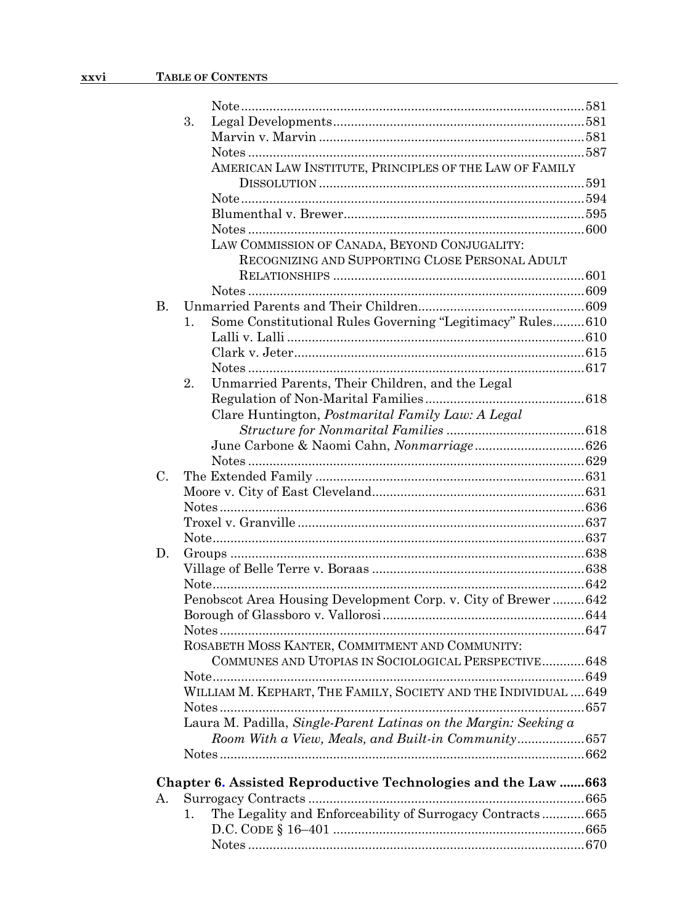|             | 3.             |                                                                  |  |
|-------------|----------------|------------------------------------------------------------------|--|
|             |                |                                                                  |  |
|             |                |                                                                  |  |
|             |                | AMERICAN LAW INSTITUTE, PRINCIPLES OF THE LAW OF FAMILY          |  |
|             |                |                                                                  |  |
|             |                |                                                                  |  |
|             |                |                                                                  |  |
|             |                |                                                                  |  |
|             |                | LAW COMMISSION OF CANADA, BEYOND CONJUGALITY:                    |  |
|             |                | RECOGNIZING AND SUPPORTING CLOSE PERSONAL ADULT                  |  |
|             |                |                                                                  |  |
|             |                |                                                                  |  |
| <b>B.</b>   |                |                                                                  |  |
|             | $\mathbf{1}$ . | Some Constitutional Rules Governing "Legitimacy" Rules 610       |  |
|             |                |                                                                  |  |
|             |                |                                                                  |  |
|             |                |                                                                  |  |
|             | 2.             | Unmarried Parents, Their Children, and the Legal                 |  |
|             |                |                                                                  |  |
|             |                | Clare Huntington, Postmarital Family Law: A Legal                |  |
|             |                |                                                                  |  |
|             |                |                                                                  |  |
|             |                |                                                                  |  |
| $C_{\cdot}$ |                |                                                                  |  |
|             |                |                                                                  |  |
|             |                |                                                                  |  |
|             |                |                                                                  |  |
|             |                |                                                                  |  |
| D.          |                |                                                                  |  |
|             |                |                                                                  |  |
|             |                |                                                                  |  |
|             |                | Penobscot Area Housing Development Corp. v. City of Brewer  642  |  |
|             |                |                                                                  |  |
|             |                |                                                                  |  |
|             |                | ROSABETH MOSS KANTER, COMMITMENT AND COMMUNITY:                  |  |
|             |                | COMMUNES AND UTOPIAS IN SOCIOLOGICAL PERSPECTIVE 648             |  |
|             |                |                                                                  |  |
|             |                | WILLIAM M. KEPHART, THE FAMILY, SOCIETY AND THE INDIVIDUAL  649  |  |
|             |                |                                                                  |  |
|             |                | Laura M. Padilla, Single-Parent Latinas on the Margin: Seeking a |  |
|             |                | Room With a View, Meals, and Built-in Community657               |  |
|             |                |                                                                  |  |
|             |                |                                                                  |  |
|             |                | Chapter 6. Assisted Reproductive Technologies and the Law  663   |  |
| А.          |                |                                                                  |  |
|             | 1.             | The Legality and Enforceability of Surrogacy Contracts665        |  |
|             |                |                                                                  |  |
|             |                |                                                                  |  |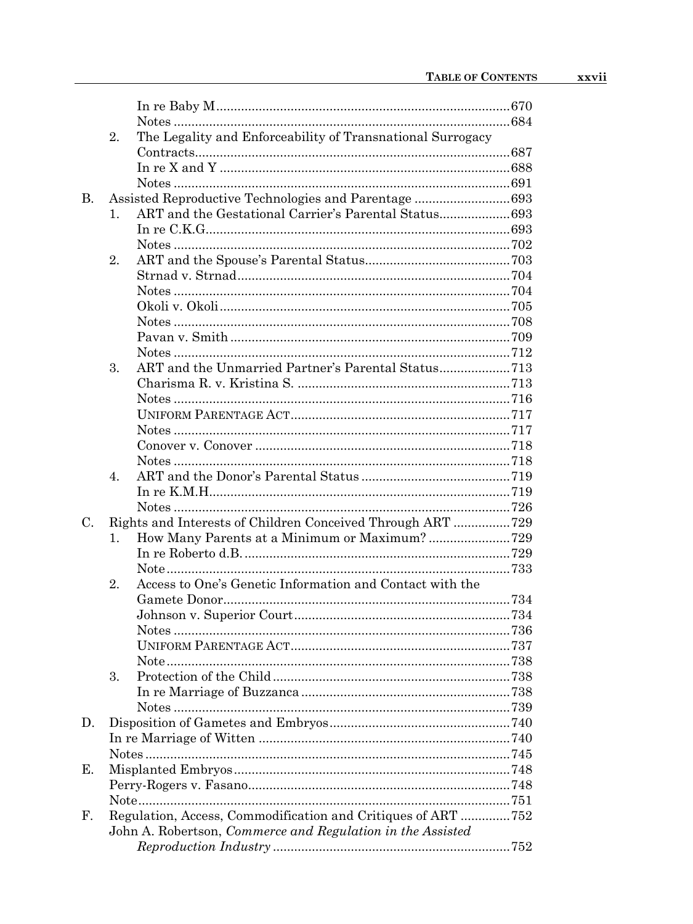|             | 2.          | The Legality and Enforceability of Transnational Surrogacy   |  |
|-------------|-------------|--------------------------------------------------------------|--|
|             |             |                                                              |  |
|             |             |                                                              |  |
|             |             |                                                              |  |
| B.          |             | Assisted Reproductive Technologies and Parentage693          |  |
|             | 1.          |                                                              |  |
|             |             |                                                              |  |
|             |             |                                                              |  |
|             | 2.          |                                                              |  |
|             |             |                                                              |  |
|             |             |                                                              |  |
|             |             |                                                              |  |
|             |             |                                                              |  |
|             |             |                                                              |  |
|             |             |                                                              |  |
|             | 3.          | ART and the Unmarried Partner's Parental Status713           |  |
|             |             |                                                              |  |
|             |             |                                                              |  |
|             |             |                                                              |  |
|             |             |                                                              |  |
|             |             |                                                              |  |
|             |             |                                                              |  |
|             | $4_{\cdot}$ |                                                              |  |
|             |             |                                                              |  |
|             |             |                                                              |  |
| $C_{\cdot}$ |             | Rights and Interests of Children Conceived Through ART 729   |  |
|             | 1.          | How Many Parents at a Minimum or Maximum?729                 |  |
|             |             |                                                              |  |
|             |             |                                                              |  |
|             | 2.          | Access to One's Genetic Information and Contact with the     |  |
|             |             |                                                              |  |
|             |             |                                                              |  |
|             |             |                                                              |  |
|             |             |                                                              |  |
|             |             |                                                              |  |
|             | 3.          |                                                              |  |
|             |             |                                                              |  |
|             |             |                                                              |  |
| D.          |             |                                                              |  |
|             |             |                                                              |  |
|             |             |                                                              |  |
|             |             |                                                              |  |
| Е.          |             |                                                              |  |
|             |             |                                                              |  |
|             |             |                                                              |  |
| F.          |             | Regulation, Access, Commodification and Critiques of ART 752 |  |
|             |             | John A. Robertson, Commerce and Regulation in the Assisted   |  |
|             |             |                                                              |  |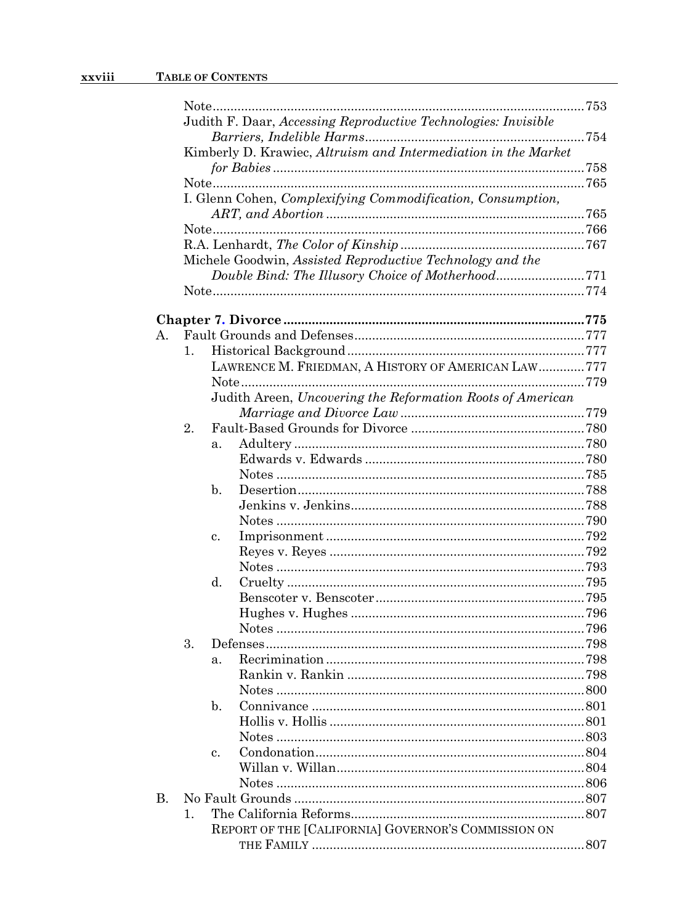|    | Judith F. Daar, Accessing Reproductive Technologies: Invisible |                                                                                                                                                                                                        |
|----|----------------------------------------------------------------|--------------------------------------------------------------------------------------------------------------------------------------------------------------------------------------------------------|
|    |                                                                |                                                                                                                                                                                                        |
|    | Kimberly D. Krawiec, Altruism and Intermediation in the Market |                                                                                                                                                                                                        |
|    |                                                                |                                                                                                                                                                                                        |
|    | I. Glenn Cohen, Complexifying Commodification, Consumption,    |                                                                                                                                                                                                        |
|    |                                                                |                                                                                                                                                                                                        |
|    |                                                                |                                                                                                                                                                                                        |
|    |                                                                |                                                                                                                                                                                                        |
|    |                                                                |                                                                                                                                                                                                        |
|    |                                                                |                                                                                                                                                                                                        |
|    |                                                                |                                                                                                                                                                                                        |
|    |                                                                |                                                                                                                                                                                                        |
|    |                                                                |                                                                                                                                                                                                        |
| 1. |                                                                |                                                                                                                                                                                                        |
|    | LAWRENCE M. FRIEDMAN, A HISTORY OF AMERICAN LAW777             |                                                                                                                                                                                                        |
|    |                                                                |                                                                                                                                                                                                        |
|    |                                                                |                                                                                                                                                                                                        |
|    |                                                                |                                                                                                                                                                                                        |
|    |                                                                |                                                                                                                                                                                                        |
|    |                                                                |                                                                                                                                                                                                        |
|    |                                                                |                                                                                                                                                                                                        |
|    |                                                                |                                                                                                                                                                                                        |
|    |                                                                |                                                                                                                                                                                                        |
|    |                                                                |                                                                                                                                                                                                        |
|    |                                                                |                                                                                                                                                                                                        |
|    |                                                                |                                                                                                                                                                                                        |
|    |                                                                |                                                                                                                                                                                                        |
|    |                                                                |                                                                                                                                                                                                        |
|    |                                                                |                                                                                                                                                                                                        |
|    |                                                                |                                                                                                                                                                                                        |
|    |                                                                |                                                                                                                                                                                                        |
|    |                                                                |                                                                                                                                                                                                        |
|    |                                                                |                                                                                                                                                                                                        |
|    |                                                                |                                                                                                                                                                                                        |
|    | a.                                                             |                                                                                                                                                                                                        |
|    |                                                                |                                                                                                                                                                                                        |
|    |                                                                |                                                                                                                                                                                                        |
|    | $\mathbf{b}$ .                                                 |                                                                                                                                                                                                        |
|    |                                                                |                                                                                                                                                                                                        |
|    |                                                                |                                                                                                                                                                                                        |
|    | $\mathbf{c}$ .                                                 |                                                                                                                                                                                                        |
|    |                                                                |                                                                                                                                                                                                        |
|    |                                                                |                                                                                                                                                                                                        |
|    |                                                                |                                                                                                                                                                                                        |
|    |                                                                |                                                                                                                                                                                                        |
|    |                                                                |                                                                                                                                                                                                        |
|    | 2.<br>3.<br>1.                                                 | Michele Goodwin, Assisted Reproductive Technology and the<br>Judith Areen, Uncovering the Reformation Roots of American<br>a.<br>b.<br>c.<br>d.<br>REPORT OF THE [CALIFORNIA] GOVERNOR'S COMMISSION ON |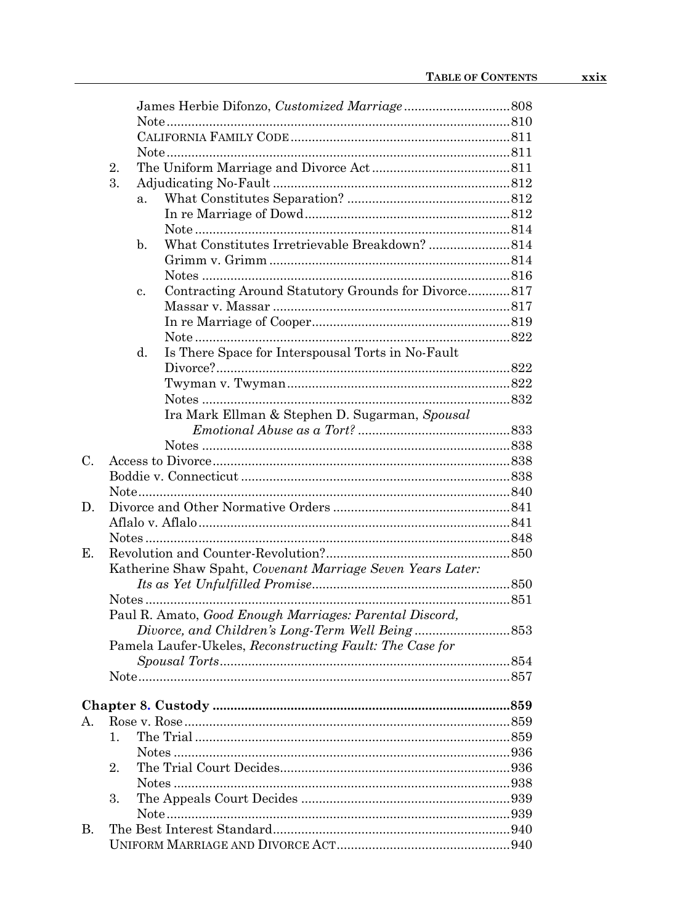|       | 2.                   |                                                                       |  |
|-------|----------------------|-----------------------------------------------------------------------|--|
|       | 3.                   |                                                                       |  |
|       |                      | a.                                                                    |  |
|       |                      |                                                                       |  |
|       |                      |                                                                       |  |
|       |                      | $\mathbf{b}$ .                                                        |  |
|       |                      |                                                                       |  |
|       |                      |                                                                       |  |
|       |                      | Contracting Around Statutory Grounds for Divorce817<br>$\mathbf{c}$ . |  |
|       |                      |                                                                       |  |
|       |                      |                                                                       |  |
|       |                      |                                                                       |  |
|       |                      | Is There Space for Interspousal Torts in No-Fault<br>d.               |  |
|       |                      |                                                                       |  |
|       |                      |                                                                       |  |
|       |                      |                                                                       |  |
|       |                      | Ira Mark Ellman & Stephen D. Sugarman, Spousal                        |  |
|       |                      |                                                                       |  |
| $C$ . |                      |                                                                       |  |
|       |                      |                                                                       |  |
|       |                      |                                                                       |  |
| D.    |                      |                                                                       |  |
|       |                      |                                                                       |  |
|       |                      |                                                                       |  |
| Е.    |                      |                                                                       |  |
|       |                      | Katherine Shaw Spaht, Covenant Marriage Seven Years Later:            |  |
|       |                      |                                                                       |  |
|       |                      |                                                                       |  |
|       |                      | Paul R. Amato, Good Enough Marriages: Parental Discord,               |  |
|       |                      |                                                                       |  |
|       |                      | Pamela Laufer-Ukeles, Reconstructing Fault: The Case for              |  |
|       |                      |                                                                       |  |
|       |                      |                                                                       |  |
|       |                      |                                                                       |  |
|       |                      |                                                                       |  |
| A.    |                      |                                                                       |  |
|       | $\mathbf{1}_{\cdot}$ |                                                                       |  |
|       |                      |                                                                       |  |
|       | 2.                   |                                                                       |  |
|       |                      |                                                                       |  |
|       | 3.                   |                                                                       |  |
|       |                      |                                                                       |  |
| В.    |                      |                                                                       |  |
|       |                      |                                                                       |  |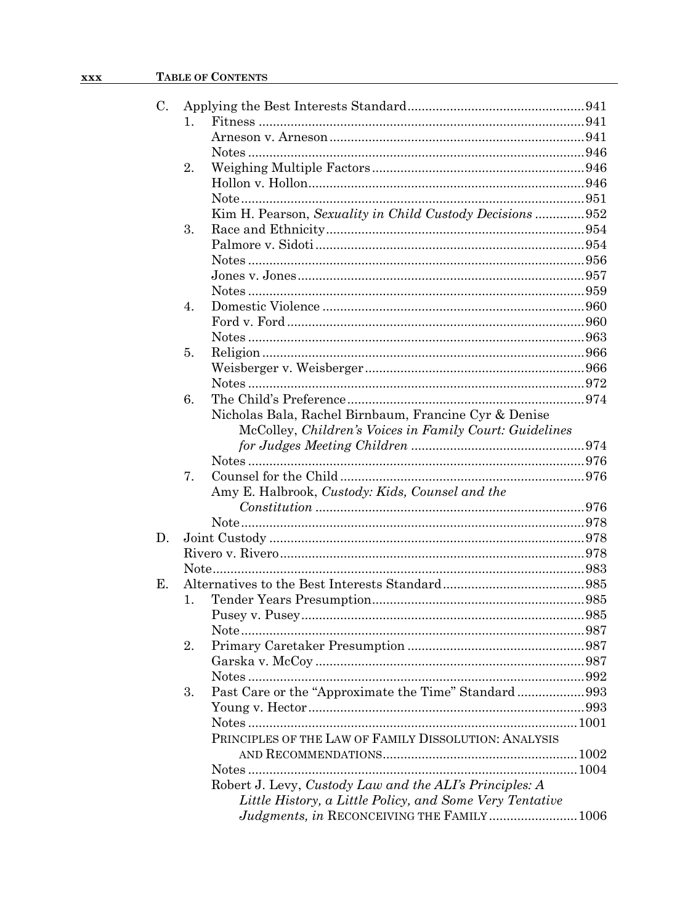## XXX TABLE OF CONTENTS

| C. |                  |                                                          |  |
|----|------------------|----------------------------------------------------------|--|
|    | 1.               |                                                          |  |
|    |                  |                                                          |  |
|    |                  |                                                          |  |
|    | 2.               |                                                          |  |
|    |                  |                                                          |  |
|    |                  |                                                          |  |
|    |                  | Kim H. Pearson, Sexuality in Child Custody Decisions 952 |  |
|    | 3.               |                                                          |  |
|    |                  |                                                          |  |
|    |                  |                                                          |  |
|    |                  |                                                          |  |
|    |                  |                                                          |  |
|    | $\overline{4}$ . |                                                          |  |
|    |                  |                                                          |  |
|    |                  |                                                          |  |
|    | 5.               |                                                          |  |
|    |                  |                                                          |  |
|    |                  |                                                          |  |
|    | 6.               |                                                          |  |
|    |                  | Nicholas Bala, Rachel Birnbaum, Francine Cyr & Denise    |  |
|    |                  | McColley, Children's Voices in Family Court: Guidelines  |  |
|    |                  |                                                          |  |
|    |                  |                                                          |  |
|    |                  |                                                          |  |
|    | 7.               |                                                          |  |
|    |                  | Amy E. Halbrook, Custody: Kids, Counsel and the          |  |
|    |                  |                                                          |  |
|    |                  |                                                          |  |
| D. |                  |                                                          |  |
|    |                  |                                                          |  |
|    |                  |                                                          |  |
| Е. |                  |                                                          |  |
|    | 1.               |                                                          |  |
|    |                  |                                                          |  |
|    |                  |                                                          |  |
|    | 2.               |                                                          |  |
|    |                  |                                                          |  |
|    |                  |                                                          |  |
|    | 3.               | Past Care or the "Approximate the Time" Standard993      |  |
|    |                  |                                                          |  |
|    |                  |                                                          |  |
|    |                  | PRINCIPLES OF THE LAW OF FAMILY DISSOLUTION: ANALYSIS    |  |
|    |                  |                                                          |  |
|    |                  |                                                          |  |
|    |                  | Robert J. Levy, Custody Law and the ALI's Principles: A  |  |
|    |                  | Little History, a Little Policy, and Some Very Tentative |  |
|    |                  | Judgments, in RECONCEIVING THE FAMILY 1006               |  |
|    |                  |                                                          |  |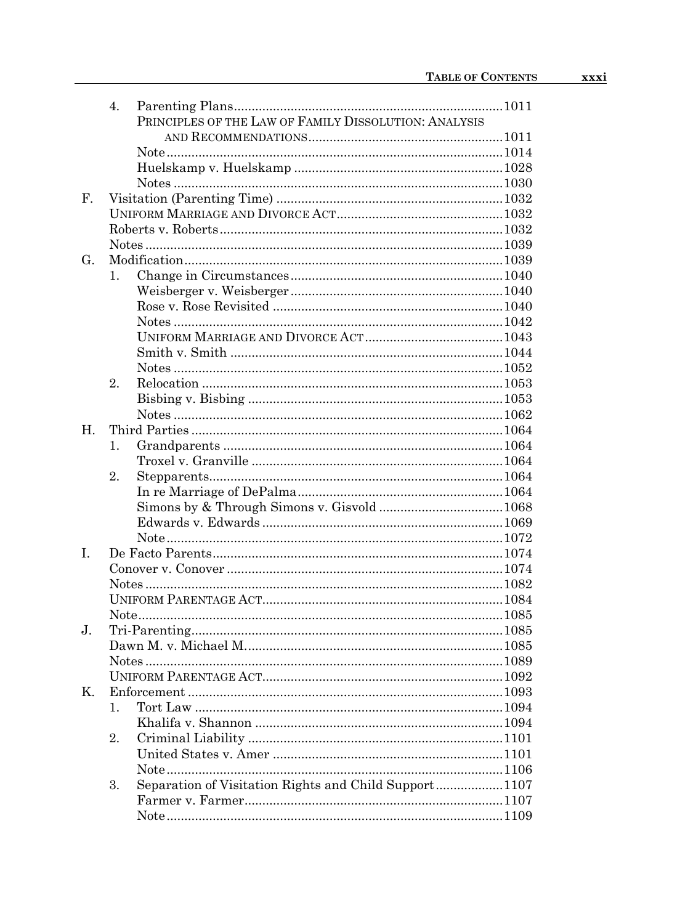|                | 4. |                                                       |  |
|----------------|----|-------------------------------------------------------|--|
|                |    | PRINCIPLES OF THE LAW OF FAMILY DISSOLUTION: ANALYSIS |  |
|                |    |                                                       |  |
|                |    |                                                       |  |
|                |    |                                                       |  |
|                |    |                                                       |  |
| $\mathbf{F}$ . |    |                                                       |  |
|                |    |                                                       |  |
|                |    |                                                       |  |
|                |    |                                                       |  |
| G.             |    |                                                       |  |
|                | 1. |                                                       |  |
|                |    |                                                       |  |
|                |    |                                                       |  |
|                |    |                                                       |  |
|                |    |                                                       |  |
|                |    |                                                       |  |
|                |    |                                                       |  |
|                | 2. |                                                       |  |
|                |    |                                                       |  |
|                |    |                                                       |  |
| H.             |    |                                                       |  |
|                |    |                                                       |  |
|                | 1. |                                                       |  |
|                |    |                                                       |  |
|                | 2. |                                                       |  |
|                |    |                                                       |  |
|                |    |                                                       |  |
|                |    |                                                       |  |
|                |    |                                                       |  |
| L              |    |                                                       |  |
|                |    |                                                       |  |
|                |    |                                                       |  |
|                |    |                                                       |  |
|                |    |                                                       |  |
| $J_{\cdot}$    |    |                                                       |  |
|                |    |                                                       |  |
|                |    |                                                       |  |
|                |    |                                                       |  |
| Κ.             |    |                                                       |  |
|                | 1. |                                                       |  |
|                |    |                                                       |  |
|                | 2. |                                                       |  |
|                |    |                                                       |  |
|                |    |                                                       |  |
|                | 3. | Separation of Visitation Rights and Child Support1107 |  |
|                |    |                                                       |  |
|                |    |                                                       |  |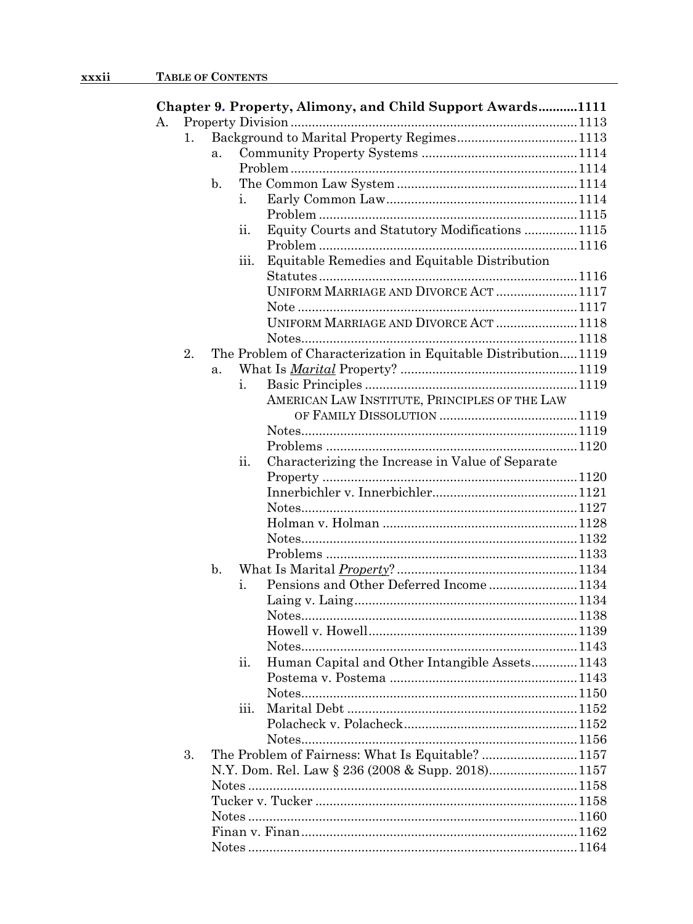|    |    |    |      | Chapter 9. Property, Alimony, and Child Support Awards1111    |  |
|----|----|----|------|---------------------------------------------------------------|--|
| А. |    |    |      |                                                               |  |
|    | 1. |    |      | Background to Marital Property Regimes1113                    |  |
|    |    | a. |      |                                                               |  |
|    |    |    |      |                                                               |  |
|    |    | b. |      |                                                               |  |
|    |    |    | i.   |                                                               |  |
|    |    |    |      |                                                               |  |
|    |    |    | 11.  | Equity Courts and Statutory Modifications  1115               |  |
|    |    |    |      |                                                               |  |
|    |    |    | 111. | Equitable Remedies and Equitable Distribution                 |  |
|    |    |    |      |                                                               |  |
|    |    |    |      | UNIFORM MARRIAGE AND DIVORCE ACT  1117                        |  |
|    |    |    |      |                                                               |  |
|    |    |    |      | UNIFORM MARRIAGE AND DIVORCE ACT  1118                        |  |
|    |    |    |      |                                                               |  |
|    | 2. |    |      | The Problem of Characterization in Equitable Distribution1119 |  |
|    |    | a. |      |                                                               |  |
|    |    |    | i.   |                                                               |  |
|    |    |    |      | AMERICAN LAW INSTITUTE, PRINCIPLES OF THE LAW                 |  |
|    |    |    |      |                                                               |  |
|    |    |    |      |                                                               |  |
|    |    |    |      |                                                               |  |
|    |    |    | ii.  | Characterizing the Increase in Value of Separate              |  |
|    |    |    |      |                                                               |  |
|    |    |    |      |                                                               |  |
|    |    |    |      |                                                               |  |
|    |    |    |      |                                                               |  |
|    |    |    |      |                                                               |  |
|    |    | b. |      |                                                               |  |
|    |    |    | i.   | Pensions and Other Deferred Income1134                        |  |
|    |    |    |      |                                                               |  |
|    |    |    |      |                                                               |  |
|    |    |    |      |                                                               |  |
|    |    |    |      |                                                               |  |
|    |    |    | ii.  | Human Capital and Other Intangible Assets1143                 |  |
|    |    |    |      |                                                               |  |
|    |    |    |      |                                                               |  |
|    |    |    | iii. |                                                               |  |
|    |    |    |      |                                                               |  |
|    |    |    |      |                                                               |  |
|    | 3. |    |      | The Problem of Fairness: What Is Equitable? 1157              |  |
|    |    |    |      | N.Y. Dom. Rel. Law § 236 (2008 & Supp. 2018)1157              |  |
|    |    |    |      |                                                               |  |
|    |    |    |      |                                                               |  |
|    |    |    |      |                                                               |  |
|    |    |    |      |                                                               |  |
|    |    |    |      |                                                               |  |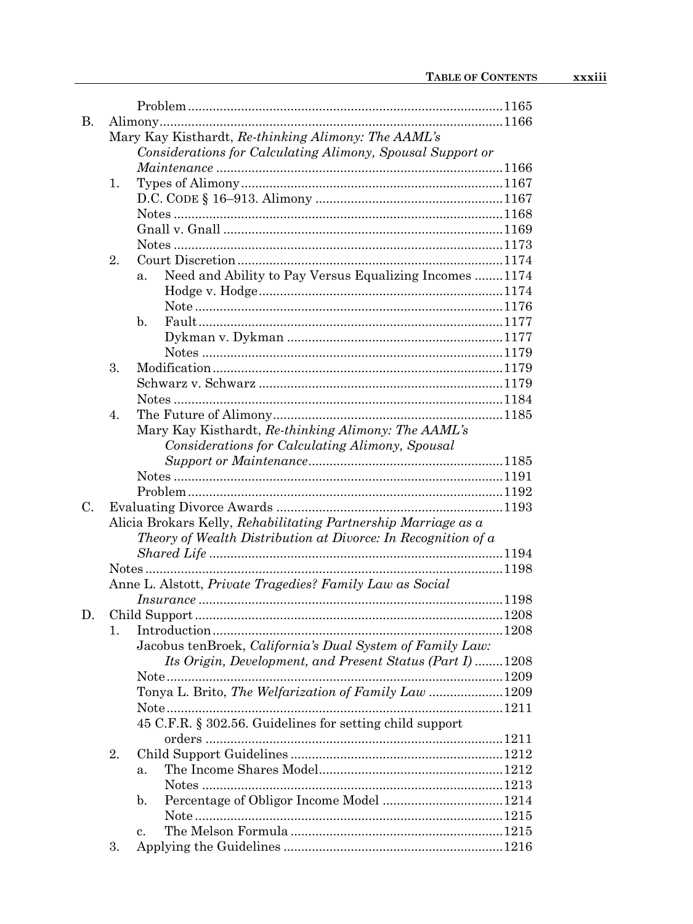| В. |    |                                                                |  |  |  |  |  |  |
|----|----|----------------------------------------------------------------|--|--|--|--|--|--|
|    |    | Mary Kay Kisthardt, Re-thinking Alimony: The AAML's            |  |  |  |  |  |  |
|    |    | Considerations for Calculating Alimony, Spousal Support or     |  |  |  |  |  |  |
|    |    |                                                                |  |  |  |  |  |  |
|    | 1. |                                                                |  |  |  |  |  |  |
|    |    |                                                                |  |  |  |  |  |  |
|    |    |                                                                |  |  |  |  |  |  |
|    |    |                                                                |  |  |  |  |  |  |
|    |    |                                                                |  |  |  |  |  |  |
|    | 2. |                                                                |  |  |  |  |  |  |
|    |    | Need and Ability to Pay Versus Equalizing Incomes  1174<br>a.  |  |  |  |  |  |  |
|    |    |                                                                |  |  |  |  |  |  |
|    |    |                                                                |  |  |  |  |  |  |
|    |    | $\mathbf{b}$ .                                                 |  |  |  |  |  |  |
|    |    |                                                                |  |  |  |  |  |  |
|    |    |                                                                |  |  |  |  |  |  |
|    | 3. |                                                                |  |  |  |  |  |  |
|    |    |                                                                |  |  |  |  |  |  |
|    |    |                                                                |  |  |  |  |  |  |
|    |    |                                                                |  |  |  |  |  |  |
|    | 4. |                                                                |  |  |  |  |  |  |
|    |    | Mary Kay Kisthardt, Re-thinking Alimony: The AAML's            |  |  |  |  |  |  |
|    |    | Considerations for Calculating Alimony, Spousal                |  |  |  |  |  |  |
|    |    |                                                                |  |  |  |  |  |  |
|    |    |                                                                |  |  |  |  |  |  |
|    |    |                                                                |  |  |  |  |  |  |
| C. |    |                                                                |  |  |  |  |  |  |
|    |    | Alicia Brokars Kelly, Rehabilitating Partnership Marriage as a |  |  |  |  |  |  |
|    |    | Theory of Wealth Distribution at Divorce: In Recognition of a  |  |  |  |  |  |  |
|    |    |                                                                |  |  |  |  |  |  |
|    |    |                                                                |  |  |  |  |  |  |
|    |    | Anne L. Alstott, Private Tragedies? Family Law as Social       |  |  |  |  |  |  |
|    |    |                                                                |  |  |  |  |  |  |
| D. |    |                                                                |  |  |  |  |  |  |
|    | 1. |                                                                |  |  |  |  |  |  |
|    |    | Jacobus tenBroek, California's Dual System of Family Law:      |  |  |  |  |  |  |
|    |    | Its Origin, Development, and Present Status (Part I) 1208      |  |  |  |  |  |  |
|    |    |                                                                |  |  |  |  |  |  |
|    |    | Tonya L. Brito, The Welfarization of Family Law 1209           |  |  |  |  |  |  |
|    |    |                                                                |  |  |  |  |  |  |
|    |    | 45 C.F.R. § 302.56. Guidelines for setting child support       |  |  |  |  |  |  |
|    |    |                                                                |  |  |  |  |  |  |
|    | 2. |                                                                |  |  |  |  |  |  |
|    |    | a.                                                             |  |  |  |  |  |  |
|    |    |                                                                |  |  |  |  |  |  |
|    |    | b.                                                             |  |  |  |  |  |  |
|    |    |                                                                |  |  |  |  |  |  |
|    |    | c.                                                             |  |  |  |  |  |  |
|    | 3. |                                                                |  |  |  |  |  |  |
|    |    |                                                                |  |  |  |  |  |  |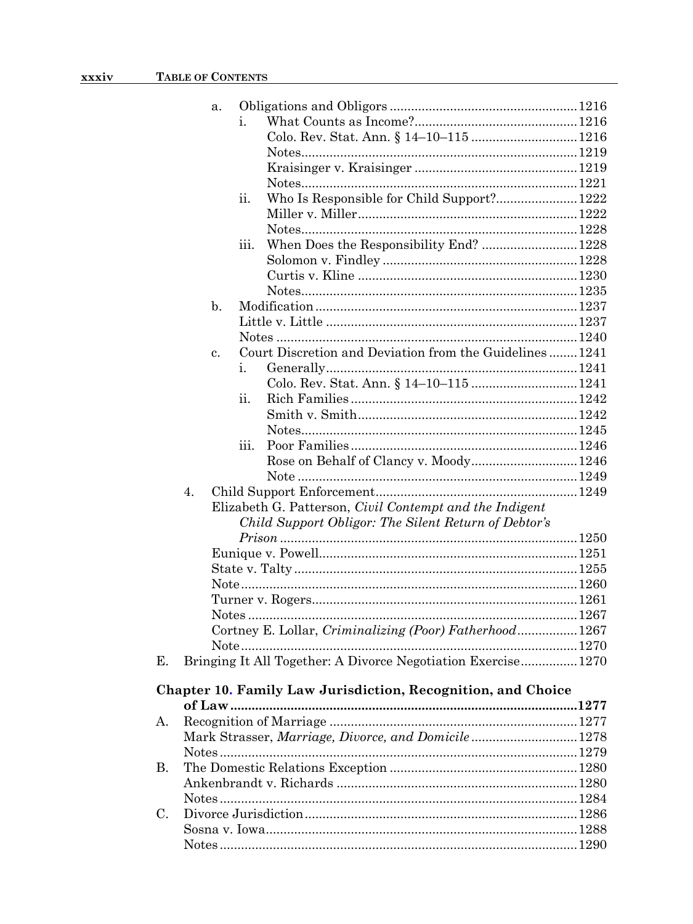|             |    | a. |      |                                                                |  |
|-------------|----|----|------|----------------------------------------------------------------|--|
|             |    |    | i.   |                                                                |  |
|             |    |    |      |                                                                |  |
|             |    |    |      |                                                                |  |
|             |    |    |      |                                                                |  |
|             |    |    |      |                                                                |  |
|             |    |    | ii.  | Who Is Responsible for Child Support? 1222                     |  |
|             |    |    |      |                                                                |  |
|             |    |    |      |                                                                |  |
|             |    |    | iii. | When Does the Responsibility End?  1228                        |  |
|             |    |    |      |                                                                |  |
|             |    |    |      |                                                                |  |
|             |    |    |      |                                                                |  |
|             |    | b. |      |                                                                |  |
|             |    |    |      |                                                                |  |
|             |    |    |      |                                                                |  |
|             |    | c. |      | Court Discretion and Deviation from the Guidelines 1241        |  |
|             |    |    | i.   |                                                                |  |
|             |    |    |      |                                                                |  |
|             |    |    | ii.  |                                                                |  |
|             |    |    |      |                                                                |  |
|             |    |    |      |                                                                |  |
|             |    |    | iii. |                                                                |  |
|             |    |    |      | Rose on Behalf of Clancy v. Moody 1246                         |  |
|             |    |    |      |                                                                |  |
|             | 4. |    |      |                                                                |  |
|             |    |    |      | Elizabeth G. Patterson, <i>Civil Contempt and the Indigent</i> |  |
|             |    |    |      | Child Support Obligor: The Silent Return of Debtor's           |  |
|             |    |    |      |                                                                |  |
|             |    |    |      |                                                                |  |
|             |    |    |      |                                                                |  |
|             |    |    |      |                                                                |  |
|             |    |    |      |                                                                |  |
|             |    |    |      |                                                                |  |
|             |    |    |      | Cortney E. Lollar, Criminalizing (Poor) Fatherhood 1267        |  |
|             |    |    |      |                                                                |  |
| Е.          |    |    |      | Bringing It All Together: A Divorce Negotiation Exercise 1270  |  |
|             |    |    |      | Chapter 10. Family Law Jurisdiction, Recognition, and Choice   |  |
|             |    |    |      |                                                                |  |
| А.          |    |    |      |                                                                |  |
|             |    |    |      | Mark Strasser, Marriage, Divorce, and Domicile1278             |  |
|             |    |    |      |                                                                |  |
| <b>B.</b>   |    |    |      |                                                                |  |
|             |    |    |      |                                                                |  |
| $C_{\cdot}$ |    |    |      |                                                                |  |
|             |    |    |      |                                                                |  |
|             |    |    |      |                                                                |  |
|             |    |    |      |                                                                |  |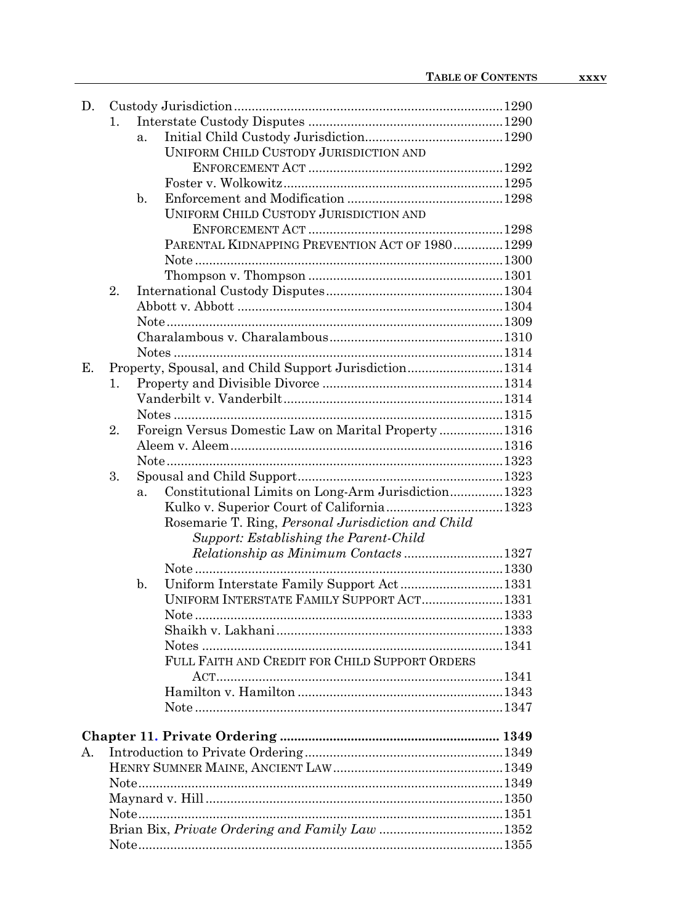| D. |    |                                                           |  |  |  |
|----|----|-----------------------------------------------------------|--|--|--|
|    | 1. |                                                           |  |  |  |
|    |    | a <sub>z</sub>                                            |  |  |  |
|    |    | UNIFORM CHILD CUSTODY JURISDICTION AND                    |  |  |  |
|    |    |                                                           |  |  |  |
|    |    |                                                           |  |  |  |
|    |    | $\mathbf{b}$ .                                            |  |  |  |
|    |    | UNIFORM CHILD CUSTODY JURISDICTION AND                    |  |  |  |
|    |    |                                                           |  |  |  |
|    |    | PARENTAL KIDNAPPING PREVENTION ACT OF 19801299            |  |  |  |
|    |    |                                                           |  |  |  |
|    |    |                                                           |  |  |  |
|    | 2. |                                                           |  |  |  |
|    |    |                                                           |  |  |  |
|    |    |                                                           |  |  |  |
|    |    |                                                           |  |  |  |
|    |    |                                                           |  |  |  |
| Е. |    | Property, Spousal, and Child Support Jurisdiction1314     |  |  |  |
|    | 1. |                                                           |  |  |  |
|    |    |                                                           |  |  |  |
|    |    |                                                           |  |  |  |
|    | 2. | Foreign Versus Domestic Law on Marital Property  1316     |  |  |  |
|    |    |                                                           |  |  |  |
|    |    |                                                           |  |  |  |
|    | 3. |                                                           |  |  |  |
|    |    | Constitutional Limits on Long-Arm Jurisdiction 1323<br>a. |  |  |  |
|    |    |                                                           |  |  |  |
|    |    | Rosemarie T. Ring, Personal Jurisdiction and Child        |  |  |  |
|    |    | Support: Establishing the Parent-Child                    |  |  |  |
|    |    | Relationship as Minimum Contacts1327                      |  |  |  |
|    |    |                                                           |  |  |  |
|    |    | Uniform Interstate Family Support Act1331<br>b.           |  |  |  |
|    |    | UNIFORM INTERSTATE FAMILY SUPPORT ACT 1331                |  |  |  |
|    |    |                                                           |  |  |  |
|    |    |                                                           |  |  |  |
|    |    |                                                           |  |  |  |
|    |    | FULL FAITH AND CREDIT FOR CHILD SUPPORT ORDERS            |  |  |  |
|    |    |                                                           |  |  |  |
|    |    |                                                           |  |  |  |
|    |    |                                                           |  |  |  |
|    |    |                                                           |  |  |  |
| А. |    |                                                           |  |  |  |
|    |    |                                                           |  |  |  |
|    |    |                                                           |  |  |  |
|    |    |                                                           |  |  |  |
|    |    |                                                           |  |  |  |
|    |    |                                                           |  |  |  |
|    |    |                                                           |  |  |  |